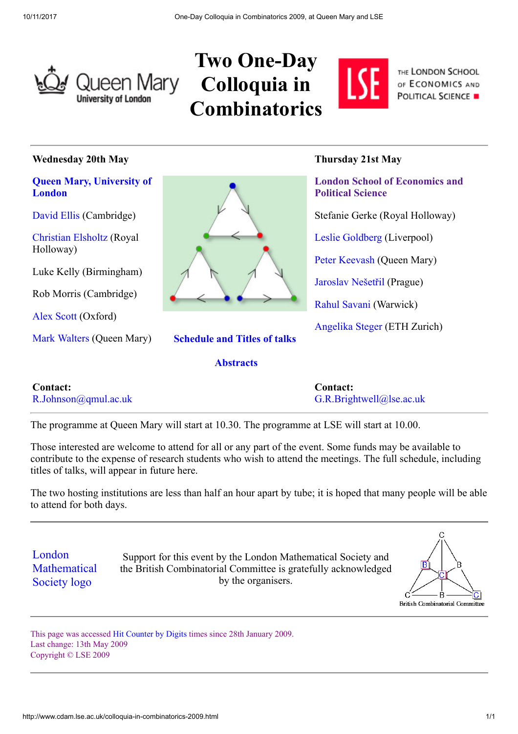

## Two One-Day Queen Mary Colloquia in **Combinatorics**



THE LONDON SCHOOL OF ECONOMICS AND **POLITICAL SCIENCE .** 

#### Wednesday 20th May

#### [Queen Mary, University of](http://www.maths.qmul.ac.uk/) London

[David Ellis](http://www.dpmms.cam.ac.uk/site2002/People/ellis_d.html) (Cambridge)

[Christian Elsholtz](http://www.ma.rhul.ac.uk/~elsholtz/) (Royal Holloway)

Luke Kelly (Birmingham)

Rob Morris (Cambridge)

[Alex Scott](http://www.merton.ox.ac.uk/fellows_and_research/scott.shtml) (Oxford)

[Mark Walters](http://www.maths.qmw.ac.uk/personnel/academicstaff/walters.shtml) (Queen Mary) [Schedule and Titles of talks](http://www.cdam.lse.ac.uk/combinatorics_schedule&talks_2009.html)



#### **[Abstracts](http://www.cdam.lse.ac.uk/2009%20Abstracts%20Booklet2.pdf)**

### Thursday 21st May

[London School of Economics and](http://www.maths.lse.ac.uk/) Political Science Stefanie Gerke (Royal Holloway) [Leslie Goldberg](http://www.csc.liv.ac.uk/~leslie/) (Liverpool) [Peter Keevash](http://keevash.googlepages.com/) (Queen Mary) [Jaroslav Nešetřil](http://kam.mff.cuni.cz/~nesetril/en/) (Prague) [Rahul Savani](http://www.dcs.warwick.ac.uk/~rahul/) (Warwick) [Angelika Steger](http://www.as.inf.ethz.ch/people/professor/asteger) (ETH Zurich)

| <b>Contact:</b>                  | <b>Contact:</b>             |
|----------------------------------|-----------------------------|
| $R.Johnson(\partial qmul.ac.uk)$ | $G.R.Brightwell@]$ se.ac.uk |

The programme at Queen Mary will start at 10.30. The programme at LSE will start at 10.00.

Those interested are welcome to attend for all or any part of the event. Some funds may be available to contribute to the expense of research students who wish to attend the meetings. The full schedule, including titles of talks, will appear in future here.

The two hosting institutions are less than half an hour apart by tube; it is hoped that many people will be able to attend for both days.

London **[Mathematical](http://www.lms.ac.uk/)** Society logo

Support for this event by the London Mathematical Society and the British Combinatorial Committee is gratefully acknowledged by the organisers.



This page was accessed [Hit Counter by Digits](http://www.digits.com/) times since 28th January 2009. Last change: 13th May 2009 Copyright © LSE 2009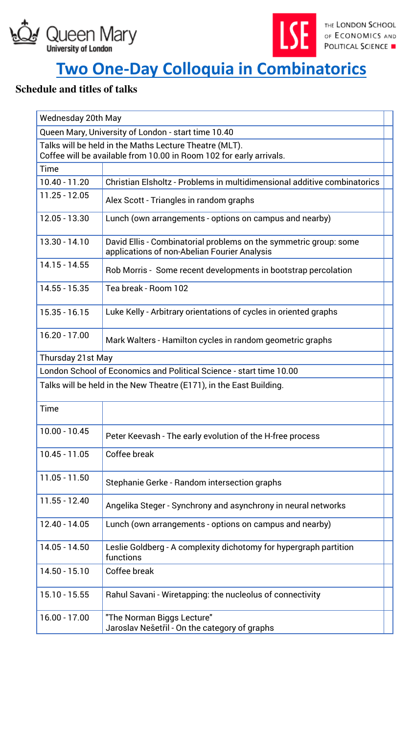



# **[Two One-Day Colloquia in Combinatorics](http://www.cdam.lse.ac.uk/colloquia-in-combinatorics-2009.html)**

## **Schedule and titles of talks**

| Wednesday 20th May                                                                                                            |                                                                                                                   |  |  |
|-------------------------------------------------------------------------------------------------------------------------------|-------------------------------------------------------------------------------------------------------------------|--|--|
| Queen Mary, University of London - start time 10.40                                                                           |                                                                                                                   |  |  |
| Talks will be held in the Maths Lecture Theatre (MLT).<br>Coffee will be available from 10.00 in Room 102 for early arrivals. |                                                                                                                   |  |  |
| Time                                                                                                                          |                                                                                                                   |  |  |
| 10.40 - 11.20                                                                                                                 | Christian Elsholtz - Problems in multidimensional additive combinatorics                                          |  |  |
| $11.25 - 12.05$                                                                                                               | Alex Scott - Triangles in random graphs                                                                           |  |  |
| 12.05 - 13.30                                                                                                                 | Lunch (own arrangements - options on campus and nearby)                                                           |  |  |
| 13.30 - 14.10                                                                                                                 | David Ellis - Combinatorial problems on the symmetric group: some<br>applications of non-Abelian Fourier Analysis |  |  |
| 14.15 - 14.55                                                                                                                 | Rob Morris - Some recent developments in bootstrap percolation                                                    |  |  |
| 14.55 - 15.35                                                                                                                 | Tea break - Room 102                                                                                              |  |  |
| $15.35 - 16.15$                                                                                                               | Luke Kelly - Arbitrary orientations of cycles in oriented graphs                                                  |  |  |
| $16.20 - 17.00$                                                                                                               | Mark Walters - Hamilton cycles in random geometric graphs                                                         |  |  |
| Thursday 21st May                                                                                                             |                                                                                                                   |  |  |
| London School of Economics and Political Science - start time 10.00                                                           |                                                                                                                   |  |  |
| Talks will be held in the New Theatre (E171), in the East Building.                                                           |                                                                                                                   |  |  |
| Time                                                                                                                          |                                                                                                                   |  |  |
| $10.00 - 10.45$                                                                                                               | Peter Keevash - The early evolution of the H-free process                                                         |  |  |
| $10.45 - 11.05$                                                                                                               | Coffee break                                                                                                      |  |  |
| $11.05 - 11.50$                                                                                                               | Stephanie Gerke - Random intersection graphs                                                                      |  |  |
| 11.55 - 12.40                                                                                                                 | Angelika Steger - Synchrony and asynchrony in neural networks                                                     |  |  |
| 12.40 - 14.05                                                                                                                 | Lunch (own arrangements - options on campus and nearby)                                                           |  |  |
| 14.05 - 14.50                                                                                                                 | Leslie Goldberg - A complexity dichotomy for hypergraph partition<br>functions                                    |  |  |
| 14.50 - 15.10                                                                                                                 | Coffee break                                                                                                      |  |  |
| 15.10 - 15.55                                                                                                                 | Rahul Savani - Wiretapping: the nucleolus of connectivity                                                         |  |  |
| $16.00 - 17.00$                                                                                                               | "The Norman Biggs Lecture"<br>Jaroslav Nešetřil - On the category of graphs                                       |  |  |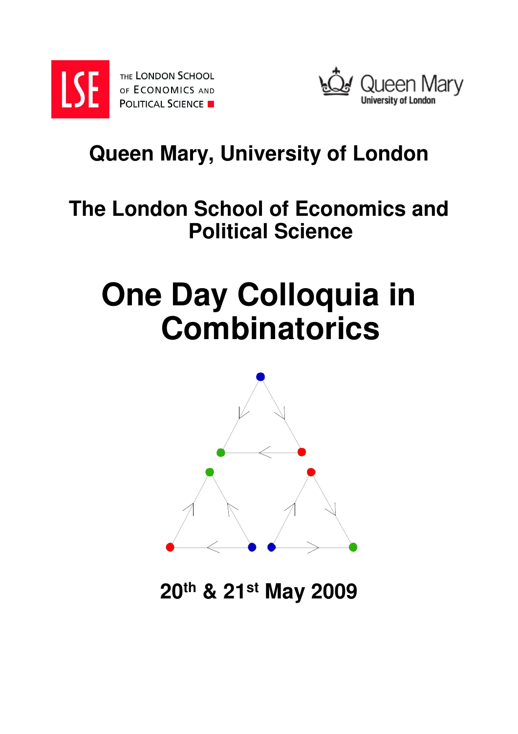

THE LONDON SCHOOL OF ECONOMICS AND **POLITICAL SCIENCE** 



# **Queen Mary, University of London**

# **The London School of Economics and Political Science**

# **One Day Colloquia in Combinatorics**



**20th & 21st May 2009**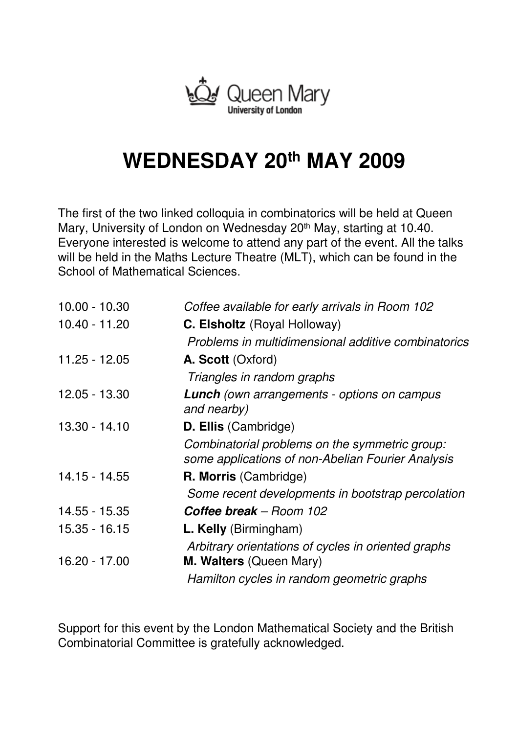

# **WEDNESDAY 20th MAY 2009**

The first of the two linked colloquia in combinatorics will be held at Queen Mary, University of London on Wednesday 20<sup>th</sup> May, starting at 10.40. Everyone interested is welcome to attend any part of the event. All the talks will be held in the Maths Lecture Theatre (MLT), which can be found in the School of Mathematical Sciences.

| $10.00 - 10.30$ | Coffee available for early arrivals in Room 102                                                     |
|-----------------|-----------------------------------------------------------------------------------------------------|
| 10.40 - 11.20   | C. Elsholtz (Royal Holloway)                                                                        |
|                 | Problems in multidimensional additive combinatorics                                                 |
| $11.25 - 12.05$ | A. Scott (Oxford)                                                                                   |
|                 | Triangles in random graphs                                                                          |
| 12.05 - 13.30   | <b>Lunch</b> (own arrangements - options on campus<br>and nearby)                                   |
| $13.30 - 14.10$ | <b>D. Ellis (Cambridge)</b>                                                                         |
|                 | Combinatorial problems on the symmetric group:<br>some applications of non-Abelian Fourier Analysis |
| 14.15 - 14.55   | <b>R. Morris (Cambridge)</b>                                                                        |
|                 | Some recent developments in bootstrap percolation                                                   |
| 14.55 - 15.35   | <b>Coffee break</b> – Room 102                                                                      |
| $15.35 - 16.15$ | L. Kelly (Birmingham)                                                                               |
| 16.20 - 17.00   | Arbitrary orientations of cycles in oriented graphs<br>M. Walters (Queen Mary)                      |
|                 | Hamilton cycles in random geometric graphs                                                          |

Support for this event by the London Mathematical Society and the British Combinatorial Committee is gratefully acknowledged.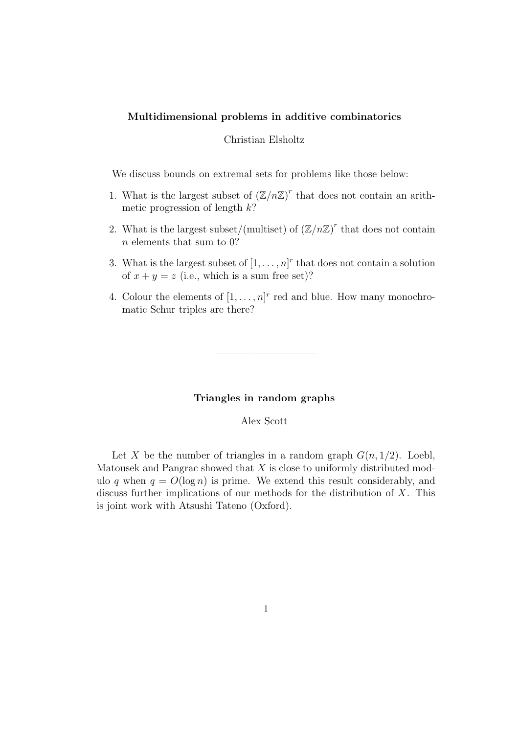#### Multidimensional problems in additive combinatorics

#### Christian Elsholtz

We discuss bounds on extremal sets for problems like those below:

- 1. What is the largest subset of  $(\mathbb{Z}/n\mathbb{Z})^r$  that does not contain an arithmetic progression of length  $k$ ?
- 2. What is the largest subset/(multiset) of  $(\mathbb{Z}/n\mathbb{Z})^r$  that does not contain n elements that sum to 0?
- 3. What is the largest subset of  $[1, \ldots, n]^r$  that does not contain a solution of  $x + y = z$  (i.e., which is a sum free set)?
- 4. Colour the elements of  $[1, \ldots, n]^r$  red and blue. How many monochromatic Schur triples are there?

#### Triangles in random graphs

——————————

Alex Scott

Let X be the number of triangles in a random graph  $G(n, 1/2)$ . Loebl, Matousek and Pangrac showed that  $X$  is close to uniformly distributed modulo q when  $q = O(\log n)$  is prime. We extend this result considerably, and discuss further implications of our methods for the distribution of X. This is joint work with Atsushi Tateno (Oxford).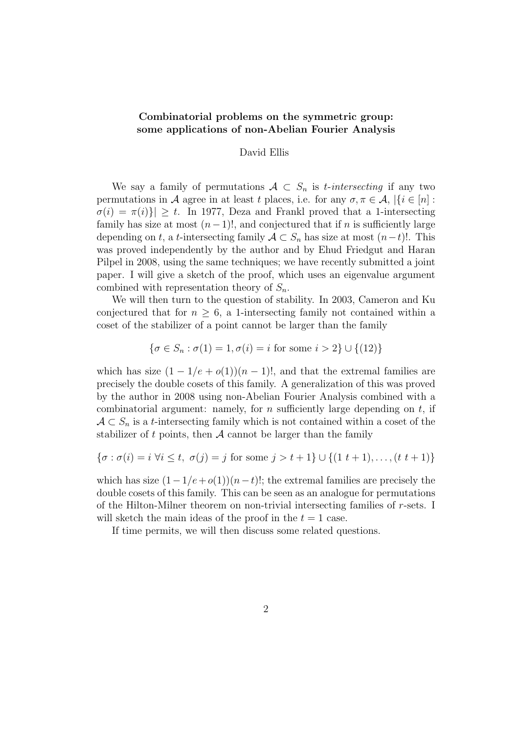#### Combinatorial problems on the symmetric group: some applications of non-Abelian Fourier Analysis

#### David Ellis

We say a family of permutations  $A \subset S_n$  is *t*-intersecting if any two permutations in A agree in at least t places, i.e. for any  $\sigma, \pi \in \mathcal{A}, |\{i \in [n]:\}$  $\sigma(i) = \pi(i)$   $\geq t$ . In 1977, Deza and Frankl proved that a 1-intersecting family has size at most  $(n-1)!$ , and conjectured that if n is sufficiently large depending on t, a t-intersecting family  $A \subset S_n$  has size at most  $(n-t)!$ . This was proved independently by the author and by Ehud Friedgut and Haran Pilpel in 2008, using the same techniques; we have recently submitted a joint paper. I will give a sketch of the proof, which uses an eigenvalue argument combined with representation theory of  $S_n$ .

We will then turn to the question of stability. In 2003, Cameron and Ku conjectured that for  $n \geq 6$ , a 1-intersecting family not contained within a coset of the stabilizer of a point cannot be larger than the family

$$
\{\sigma \in S_n : \sigma(1) = 1, \sigma(i) = i \text{ for some } i > 2\} \cup \{(12)\}\
$$

which has size  $(1 - 1/e + o(1))(n - 1)!$ , and that the extremal families are precisely the double cosets of this family. A generalization of this was proved by the author in 2008 using non-Abelian Fourier Analysis combined with a combinatorial argument: namely, for n sufficiently large depending on  $t$ , if  $A \subset S_n$  is a t-intersecting family which is not contained within a coset of the stabilizer of t points, then  $A$  cannot be larger than the family

$$
\{\sigma : \sigma(i) = i \,\,\forall i \leq t, \,\,\sigma(j) = j \,\,\text{for some}\,\, j > t + 1\} \cup \{(1\,\,t + 1), \ldots, (t\,\,t + 1)\}
$$

which has size  $(1-1/e+o(1))(n-t)!$ ; the extremal families are precisely the double cosets of this family. This can be seen as an analogue for permutations of the Hilton-Milner theorem on non-trivial intersecting families of r-sets. I will sketch the main ideas of the proof in the  $t = 1$  case.

If time permits, we will then discuss some related questions.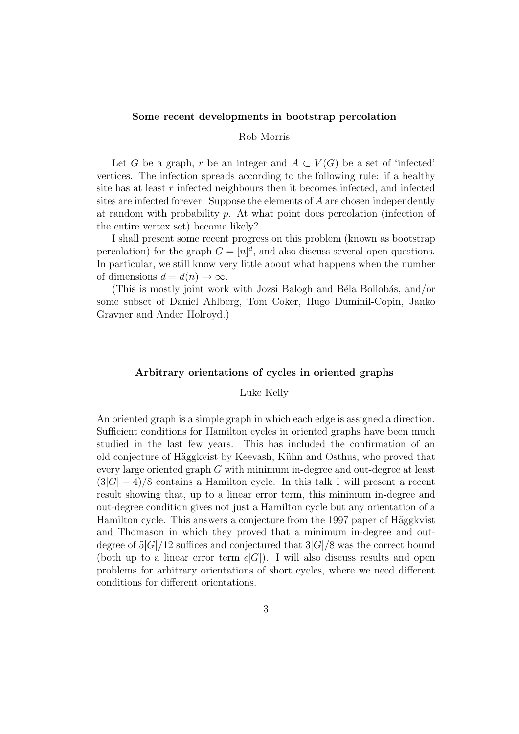#### Some recent developments in bootstrap percolation

#### Rob Morris

Let G be a graph, r be an integer and  $A \subset V(G)$  be a set of 'infected' vertices. The infection spreads according to the following rule: if a healthy site has at least  $r$  infected neighbours then it becomes infected, and infected sites are infected forever. Suppose the elements of A are chosen independently at random with probability  $p$ . At what point does percolation (infection of the entire vertex set) become likely?

I shall present some recent progress on this problem (known as bootstrap percolation) for the graph  $G = [n]^d$ , and also discuss several open questions. In particular, we still know very little about what happens when the number of dimensions  $d = d(n) \rightarrow \infty$ .

(This is mostly joint work with Jozsi Balogh and Béla Bollobás, and/or some subset of Daniel Ahlberg, Tom Coker, Hugo Duminil-Copin, Janko Gravner and Ander Holroyd.)

#### Arbitrary orientations of cycles in oriented graphs

——————————

Luke Kelly

An oriented graph is a simple graph in which each edge is assigned a direction. Sufficient conditions for Hamilton cycles in oriented graphs have been much studied in the last few years. This has included the confirmation of an old conjecture of Häggkvist by Keevash, Kühn and Osthus, who proved that every large oriented graph G with minimum in-degree and out-degree at least  $(3|G| - 4)/8$  contains a Hamilton cycle. In this talk I will present a recent result showing that, up to a linear error term, this minimum in-degree and out-degree condition gives not just a Hamilton cycle but any orientation of a Hamilton cycle. This answers a conjecture from the 1997 paper of Häggkvist and Thomason in which they proved that a minimum in-degree and outdegree of  $5|G|/12$  suffices and conjectured that  $3|G|/8$  was the correct bound (both up to a linear error term  $\epsilon|G|$ ). I will also discuss results and open problems for arbitrary orientations of short cycles, where we need different conditions for different orientations.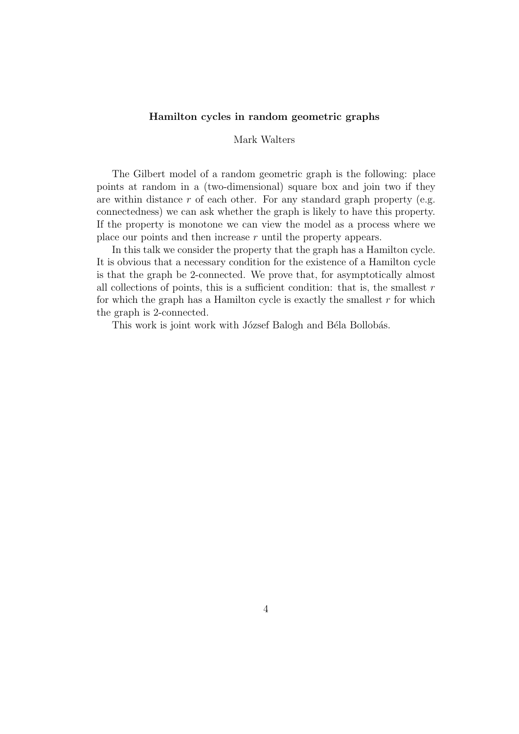#### Hamilton cycles in random geometric graphs

#### Mark Walters

The Gilbert model of a random geometric graph is the following: place points at random in a (two-dimensional) square box and join two if they are within distance  $r$  of each other. For any standard graph property (e.g. connectedness) we can ask whether the graph is likely to have this property. If the property is monotone we can view the model as a process where we place our points and then increase r until the property appears.

In this talk we consider the property that the graph has a Hamilton cycle. It is obvious that a necessary condition for the existence of a Hamilton cycle is that the graph be 2-connected. We prove that, for asymptotically almost all collections of points, this is a sufficient condition: that is, the smallest  $r$ for which the graph has a Hamilton cycle is exactly the smallest  $r$  for which the graph is 2-connected.

This work is joint work with József Balogh and Béla Bollobás.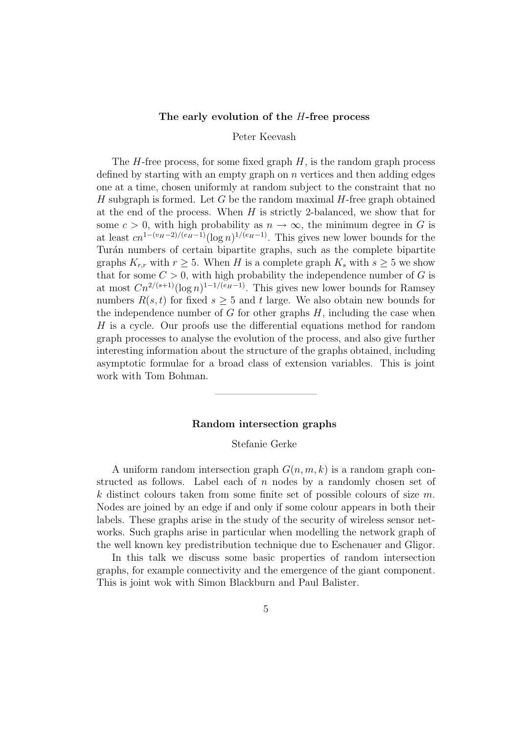#### The early evolution of the H-free process

#### Peter Keevash

The  $H$ -free process, for some fixed graph  $H$ , is the random graph process defined by starting with an empty graph on n vertices and then adding edges one at a time, chosen uniformly at random subject to the constraint that no H subgraph is formed. Let G be the random maximal  $H$ -free graph obtained at the end of the process. When  $H$  is strictly 2-balanced, we show that for some  $c > 0$ , with high probability as  $n \to \infty$ , the minimum degree in G is at least  $cn^{1-(v_H-2)/(e_H-1)}(\log n)^{1/(e_H-1)}$ . This gives new lower bounds for the Turán numbers of certain bipartite graphs, such as the complete bipartite graphs  $K_{r,r}$  with  $r > 5$ . When H is a complete graph  $K_s$  with  $s > 5$  we show that for some  $C > 0$ , with high probability the independence number of G is at most  $Cn^{2/(s+1)}(\log n)^{1-1/(e_H-1)}$ . This gives new lower bounds for Ramsey numbers  $R(s, t)$  for fixed  $s > 5$  and t large. We also obtain new bounds for the independence number of  $G$  for other graphs  $H$ , including the case when H is a cycle. Our proofs use the differential equations method for random graph processes to analyse the evolution of the process, and also give further interesting information about the structure of the graphs obtained, including asymptotic formulae for a broad class of extension variables. This is joint work with Tom Bohman.

#### Random intersection graphs

——————————

#### Stefanie Gerke

A uniform random intersection graph  $G(n, m, k)$  is a random graph constructed as follows. Label each of  $n$  nodes by a randomly chosen set of k distinct colours taken from some finite set of possible colours of size  $m$ . Nodes are joined by an edge if and only if some colour appears in both their labels. These graphs arise in the study of the security of wireless sensor networks. Such graphs arise in particular when modelling the network graph of the well known key predistribution technique due to Eschenauer and Gligor.

In this talk we discuss some basic properties of random intersection graphs, for example connectivity and the emergence of the giant component. This is joint wok with Simon Blackburn and Paul Balister.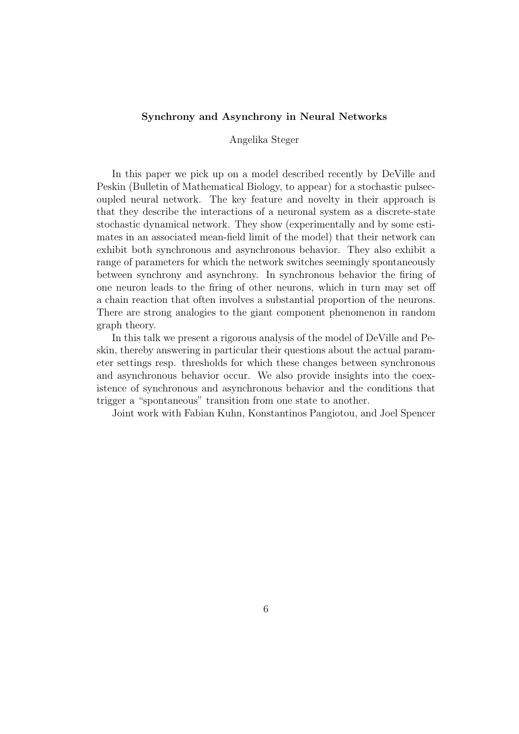#### Synchrony and Asynchrony in Neural Networks

#### Angelika Steger

In this paper we pick up on a model described recently by DeVille and Peskin (Bulletin of Mathematical Biology, to appear) for a stochastic pulsecoupled neural network. The key feature and novelty in their approach is that they describe the interactions of a neuronal system as a discrete-state stochastic dynamical network. They show (experimentally and by some estimates in an associated mean-field limit of the model) that their network can exhibit both synchronous and asynchronous behavior. They also exhibit a range of parameters for which the network switches seemingly spontaneously between synchrony and asynchrony. In synchronous behavior the firing of one neuron leads to the firing of other neurons, which in turn may set off a chain reaction that often involves a substantial proportion of the neurons. There are strong analogies to the giant component phenomenon in random graph theory.

In this talk we present a rigorous analysis of the model of DeVille and Peskin, thereby answering in particular their questions about the actual parameter settings resp. thresholds for which these changes between synchronous and asynchronous behavior occur. We also provide insights into the coexistence of synchronous and asynchronous behavior and the conditions that trigger a "spontaneous" transition from one state to another.

Joint work with Fabian Kuhn, Konstantinos Pangiotou, and Joel Spencer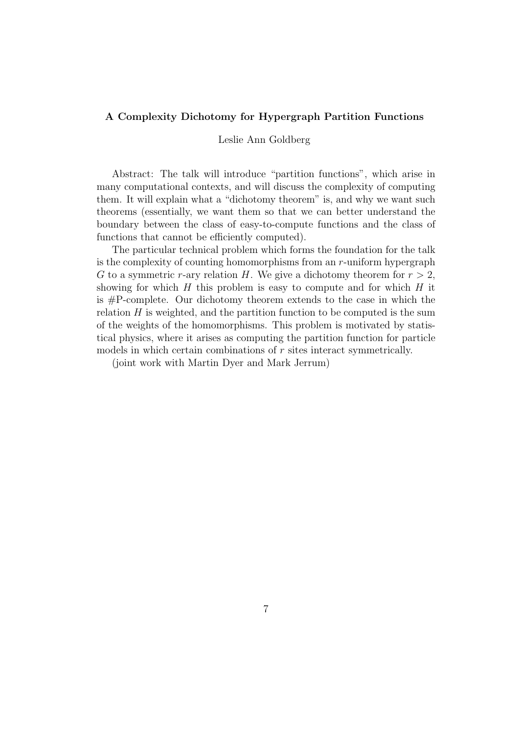#### A Complexity Dichotomy for Hypergraph Partition Functions

#### Leslie Ann Goldberg

Abstract: The talk will introduce "partition functions", which arise in many computational contexts, and will discuss the complexity of computing them. It will explain what a "dichotomy theorem" is, and why we want such theorems (essentially, we want them so that we can better understand the boundary between the class of easy-to-compute functions and the class of functions that cannot be efficiently computed).

The particular technical problem which forms the foundation for the talk is the complexity of counting homomorphisms from an  $r$ -uniform hypergraph G to a symmetric r-ary relation H. We give a dichotomy theorem for  $r > 2$ , showing for which  $H$  this problem is easy to compute and for which  $H$  it is #P-complete. Our dichotomy theorem extends to the case in which the relation  $H$  is weighted, and the partition function to be computed is the sum of the weights of the homomorphisms. This problem is motivated by statistical physics, where it arises as computing the partition function for particle models in which certain combinations of  $r$  sites interact symmetrically.

(joint work with Martin Dyer and Mark Jerrum)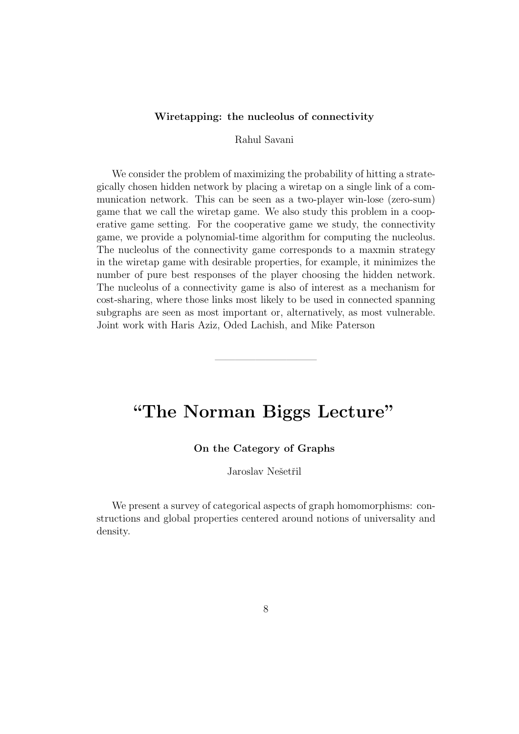#### Wiretapping: the nucleolus of connectivity

Rahul Savani

We consider the problem of maximizing the probability of hitting a strategically chosen hidden network by placing a wiretap on a single link of a communication network. This can be seen as a two-player win-lose (zero-sum) game that we call the wiretap game. We also study this problem in a cooperative game setting. For the cooperative game we study, the connectivity game, we provide a polynomial-time algorithm for computing the nucleolus. The nucleolus of the connectivity game corresponds to a maxmin strategy in the wiretap game with desirable properties, for example, it minimizes the number of pure best responses of the player choosing the hidden network. The nucleolus of a connectivity game is also of interest as a mechanism for cost-sharing, where those links most likely to be used in connected spanning subgraphs are seen as most important or, alternatively, as most vulnerable. Joint work with Haris Aziz, Oded Lachish, and Mike Paterson

## "The Norman Biggs Lecture"

——————————

#### On the Category of Graphs

Jaroslav Nešetřil

We present a survey of categorical aspects of graph homomorphisms: constructions and global properties centered around notions of universality and density.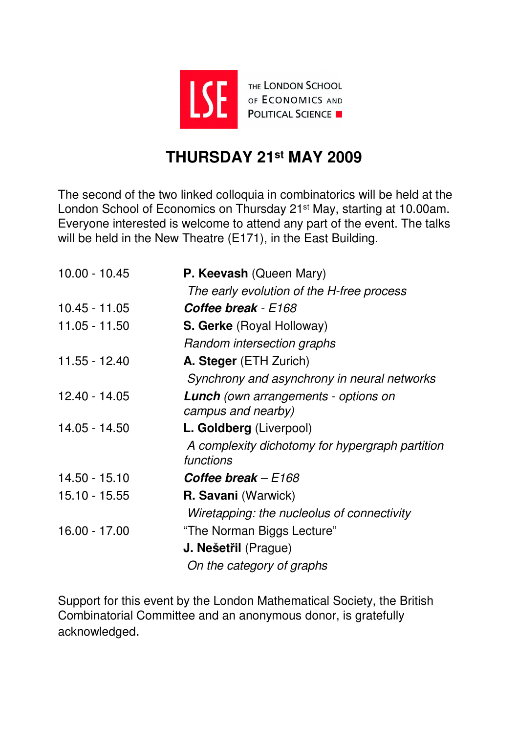

## **THURSDAY 21st MAY 2009**

The second of the two linked colloquia in combinatorics will be held at the London School of Economics on Thursday 21st May, starting at 10.00am. Everyone interested is welcome to attend any part of the event. The talks will be held in the New Theatre (E171), in the East Building.

| $10.00 - 10.45$ | P. Keevash (Queen Mary)                                      |  |
|-----------------|--------------------------------------------------------------|--|
|                 | The early evolution of the H-free process                    |  |
| $10.45 - 11.05$ | <b>Coffee break</b> - E168                                   |  |
| $11.05 - 11.50$ | S. Gerke (Royal Holloway)                                    |  |
|                 | Random intersection graphs                                   |  |
| 11.55 - 12.40   | A. Steger (ETH Zurich)                                       |  |
|                 | Synchrony and asynchrony in neural networks                  |  |
| 12.40 - 14.05   | <b>Lunch</b> (own arrangements - options on                  |  |
|                 | campus and nearby)                                           |  |
| 14.05 - 14.50   | L. Goldberg (Liverpool)                                      |  |
|                 | A complexity dichotomy for hypergraph partition<br>functions |  |
| 14.50 - 15.10   | Coffee break $-E168$                                         |  |
| $15.10 - 15.55$ | <b>R. Savani</b> (Warwick)                                   |  |
|                 | Wiretapping: the nucleolus of connectivity                   |  |
| 16.00 - 17.00   | "The Norman Biggs Lecture"                                   |  |
|                 | <b>J. Nešetřil</b> (Prague)                                  |  |
|                 | On the category of graphs                                    |  |

Support for this event by the London Mathematical Society, the British Combinatorial Committee and an anonymous donor, is gratefully acknowledged.